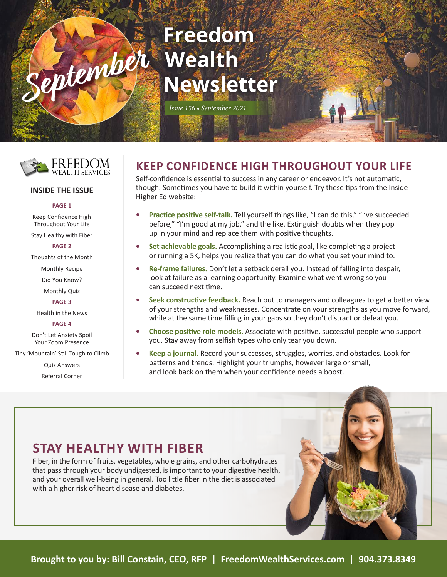# **Freedom September** Wealth **Newsletter**

*Issue 156 • September 2021*



#### **INSIDE THE ISSUE**

#### **PAGE 1**

Keep Confidence High Throughout Your Life

Stay Healthy with Fiber

#### **PAGE 2**

Thoughts of the Month

Monthly Recipe

Did You Know?

Monthly Quiz

**PAGE 3**

Health in the News

**PAGE 4**

Don't Let Anxiety Spoil Your Zoom Presence

Tiny 'Mountain' Still Tough to Climb

Quiz Answers

Referral Corner

#### **KEEP CONFIDENCE HIGH THROUGHOUT YOUR LIFE**

Self-confidence is essential to success in any career or endeavor. It's not automatic, though. Sometimes you have to build it within yourself. Try these tips from the Inside Higher Ed website:

- **• Practice positive self-talk.** Tell yourself things like, "I can do this," "I've succeeded before," "I'm good at my job," and the like. Extinguish doubts when they pop up in your mind and replace them with positive thoughts.
- **• Set achievable goals.** Accomplishing a realistic goal, like completing a project or running a 5K, helps you realize that you can do what you set your mind to.
- **• Re-frame failures.** Don't let a setback derail you. Instead of falling into despair, look at failure as a learning opportunity. Examine what went wrong so you can succeed next time.
- **• Seek constructive feedback.** Reach out to managers and colleagues to get a better view of your strengths and weaknesses. Concentrate on your strengths as you move forward, while at the same time filling in your gaps so they don't distract or defeat you.
- **• Choose positive role models.** Associate with positive, successful people who support you. Stay away from selfish types who only tear you down.
- **• Keep a journal.** Record your successes, struggles, worries, and obstacles. Look for patterns and trends. Highlight your triumphs, however large or small, and look back on them when your confidence needs a boost.

#### **STAY HEALTHY WITH FIBER**

Fiber, in the form of fruits, vegetables, whole grains, and other carbohydrates that pass through your body undigested, is important to your digestive health, and your overall well-being in general. Too little fiber in the diet is associated with a higher risk of heart disease and diabetes.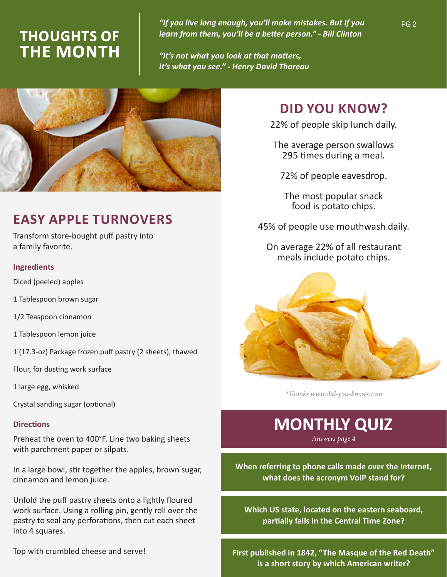### **THOUGHTS OF THE MONTH**

"If you live long enough, you'll make mistakes. But if you  $P$ G 2 *learn from them, you'll be a better person." - Bill Clinton*

*"It's not what you look at that matters, it's what you see." - Henry David Thoreau* 



### **EASY APPLE TURNOVERS**

Transform store-bought puff pastry into a family favorite.

#### **Ingredients**

Diced (peeled) apples

- 1 Tablespoon brown sugar
- 1/2 Teaspoon cinnamon
- 1 Tablespoon lemon juice
- 1 (17.3-oz) Package frozen puff pastry (2 sheets), thawed
- Flour, for dusting work surface
- 1 large egg, whisked
- Crystal sanding sugar (optional)

#### **Directions**

Preheat the oven to 400°F. Line two baking sheets with parchment paper or silpats.

In a large bowl, stir together the apples, brown sugar, cinnamon and lemon juice.

Unfold the puff pastry sheets onto a lightly floured work surface. Using a rolling pin, gently roll over the pastry to seal any perforations, then cut each sheet into 4 squares.

Top with crumbled cheese and serve!

#### **DID YOU KNOW?**

22% of people skip lunch daily.

The average person swallows 295 times during a meal.

72% of people eavesdrop.

The most popular snack food is potato chips.

45% of people use mouthwash daily.

On average 22% of all restaurant meals include potato chips.



*\*Thanks www.did-you-knows.com*

## **MONTHLY QUIZ**

*Answers page 4*

**When referring to phone calls made over the Internet, what does the acronym VoIP stand for?**

**Which US state, located on the eastern seaboard, partially falls in the Central Time Zone?**

**First published in 1842, "The Masque of the Red Death" is a short story by which American writer?**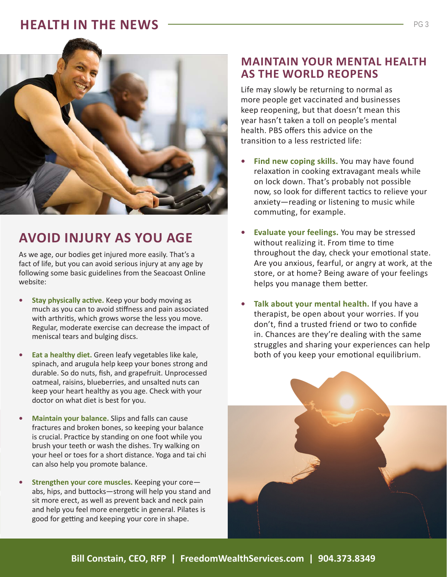#### **HEALTH IN THE NEWS**



### **AVOID INJURY AS YOU AGE**

As we age, our bodies get injured more easily. That's a fact of life, but you can avoid serious injury at any age by following some basic guidelines from the Seacoast Online website:

- **• Stay physically active.** Keep your body moving as much as you can to avoid stiffness and pain associated with arthritis, which grows worse the less you move. Regular, moderate exercise can decrease the impact of meniscal tears and bulging discs.
- **• Eat a healthy diet.** Green leafy vegetables like kale, spinach, and arugula help keep your bones strong and durable. So do nuts, fish, and grapefruit. Unprocessed oatmeal, raisins, blueberries, and unsalted nuts can keep your heart healthy as you age. Check with your doctor on what diet is best for you.
- **• Maintain your balance.** Slips and falls can cause fractures and broken bones, so keeping your balance is crucial. Practice by standing on one foot while you brush your teeth or wash the dishes. Try walking on your heel or toes for a short distance. Yoga and tai chi can also help you promote balance.
- **• Strengthen your core muscles.** Keeping your core abs, hips, and buttocks—strong will help you stand and sit more erect, as well as prevent back and neck pain and help you feel more energetic in general. Pilates is good for getting and keeping your core in shape.

#### **MAINTAIN YOUR MENTAL HEALTH AS THE WORLD REOPENS**

Life may slowly be returning to normal as more people get vaccinated and businesses keep reopening, but that doesn't mean this year hasn't taken a toll on people's mental health. PBS offers this advice on the transition to a less restricted life:

- **• Find new coping skills.** You may have found relaxation in cooking extravagant meals while on lock down. That's probably not possible now, so look for different tactics to relieve your anxiety—reading or listening to music while commuting, for example.
- **• Evaluate your feelings.** You may be stressed without realizing it. From time to time throughout the day, check your emotional state. Are you anxious, fearful, or angry at work, at the store, or at home? Being aware of your feelings helps you manage them better.
- **• Talk about your mental health.** If you have a therapist, be open about your worries. If you don't, find a trusted friend or two to confide in. Chances are they're dealing with the same struggles and sharing your experiences can help both of you keep your emotional equilibrium.